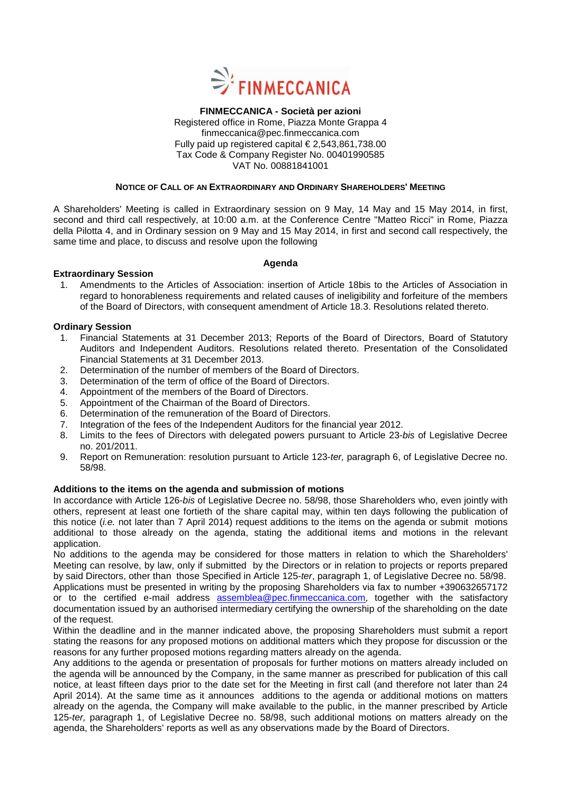

# **FINMECCANICA - Società per azioni**  Registered office in Rome, Piazza Monte Grappa 4 finmeccanica@pec.finmeccanica.com Fully paid up registered capital  $\in$  2,543,861,738.00 Tax Code & Company Register No. 00401990585 VAT No. 00881841001

# **NOTICE OF CALL OF AN EXTRAORDINARY AND ORDINARY SHAREHOLDERS' MEETING**

A Shareholders' Meeting is called in Extraordinary session on 9 May, 14 May and 15 May 2014, in first, second and third call respectively, at 10:00 a.m. at the Conference Centre "Matteo Ricci" in Rome, Piazza della Pilotta 4, and in Ordinary session on 9 May and 15 May 2014, in first and second call respectively, the same time and place, to discuss and resolve upon the following

# **Agenda**

# **Extraordinary Session**

1. Amendments to the Articles of Association: insertion of Article 18bis to the Articles of Association in regard to honorableness requirements and related causes of ineligibility and forfeiture of the members of the Board of Directors, with consequent amendment of Article 18.3. Resolutions related thereto.

# **Ordinary Session**

- 1. Financial Statements at 31 December 2013; Reports of the Board of Directors, Board of Statutory Auditors and Independent Auditors. Resolutions related thereto. Presentation of the Consolidated Financial Statements at 31 December 2013.
- 2. Determination of the number of members of the Board of Directors.
- 3. Determination of the term of office of the Board of Directors.
- 4. Appointment of the members of the Board of Directors.
- 5. Appointment of the Chairman of the Board of Directors.
- 6. Determination of the remuneration of the Board of Directors.
- 7. Integration of the fees of the Independent Auditors for the financial year 2012.
- 8. Limits to the fees of Directors with delegated powers pursuant to Article 23-bis of Legislative Decree no. 201/2011.
- 9. Report on Remuneration: resolution pursuant to Article 123-ter, paragraph 6, of Legislative Decree no. 58/98.

# **Additions to the items on the agenda and submission of motions**

In accordance with Article 126-bis of Legislative Decree no. 58/98, those Shareholders who, even jointly with others, represent at least one fortieth of the share capital may, within ten days following the publication of this notice (*i.e.* not later than 7 April 2014) request additions to the items on the agenda or submit motions additional to those already on the agenda, stating the additional items and motions in the relevant application.

No additions to the agenda may be considered for those matters in relation to which the Shareholders' Meeting can resolve, by law, only if submitted by the Directors or in relation to projects or reports prepared by said Directors, other than those Specified in Article 125-ter, paragraph 1, of Legislative Decree no. 58/98. Applications must be presented in writing by the proposing Shareholders via fax to number +390632657172 or to the certified e-mail address assemblea@pec.finmeccanica.com, together with the satisfactory documentation issued by an authorised intermediary certifying the ownership of the shareholding on the date of the request.

Within the deadline and in the manner indicated above, the proposing Shareholders must submit a report stating the reasons for any proposed motions on additional matters which they propose for discussion or the reasons for any further proposed motions regarding matters already on the agenda.

Any additions to the agenda or presentation of proposals for further motions on matters already included on the agenda will be announced by the Company, in the same manner as prescribed for publication of this call notice, at least fifteen days prior to the date set for the Meeting in first call (and therefore not later than 24 April 2014). At the same time as it announces additions to the agenda or additional motions on matters already on the agenda, the Company will make available to the public, in the manner prescribed by Article 125-ter, paragraph 1, of Legislative Decree no. 58/98, such additional motions on matters already on the agenda, the Shareholders' reports as well as any observations made by the Board of Directors.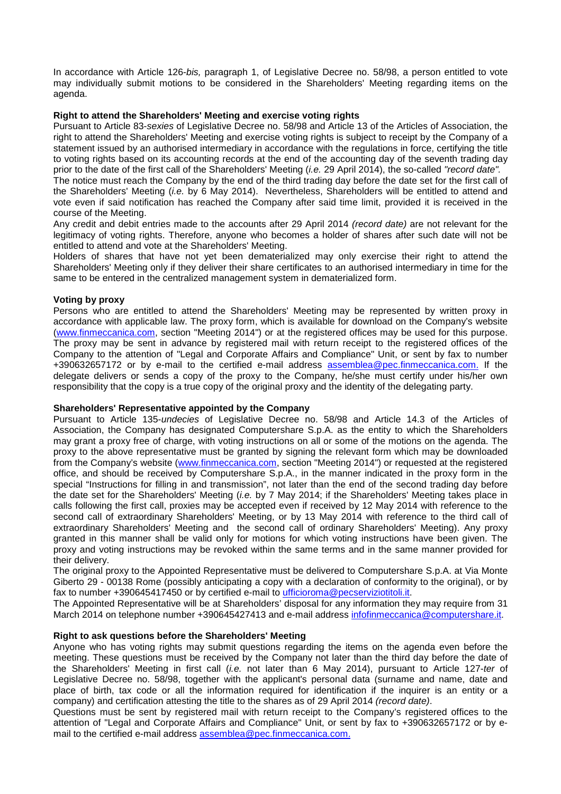In accordance with Article 126-bis, paragraph 1, of Legislative Decree no. 58/98, a person entitled to vote may individually submit motions to be considered in the Shareholders' Meeting regarding items on the agenda.

# **Right to attend the Shareholders' Meeting and exercise voting rights**

Pursuant to Article 83-sexies of Legislative Decree no. 58/98 and Article 13 of the Articles of Association, the right to attend the Shareholders' Meeting and exercise voting rights is subject to receipt by the Company of a statement issued by an authorised intermediary in accordance with the regulations in force, certifying the title to voting rights based on its accounting records at the end of the accounting day of the seventh trading day prior to the date of the first call of the Shareholders' Meeting (i.e. 29 April 2014), the so-called "record date".

The notice must reach the Company by the end of the third trading day before the date set for the first call of the Shareholders' Meeting (i.e. by 6 May 2014). Nevertheless, Shareholders will be entitled to attend and vote even if said notification has reached the Company after said time limit, provided it is received in the course of the Meeting.

Any credit and debit entries made to the accounts after 29 April 2014 (record date) are not relevant for the legitimacy of voting rights. Therefore, anyone who becomes a holder of shares after such date will not be entitled to attend and vote at the Shareholders' Meeting.

Holders of shares that have not yet been dematerialized may only exercise their right to attend the Shareholders' Meeting only if they deliver their share certificates to an authorised intermediary in time for the same to be entered in the centralized management system in dematerialized form.

# **Voting by proxy**

Persons who are entitled to attend the Shareholders' Meeting may be represented by written proxy in accordance with applicable law. The proxy form, which is available for download on the Company's website (www.finmeccanica.com, section "Meeting 2014") or at the registered offices may be used for this purpose. The proxy may be sent in advance by registered mail with return receipt to the registered offices of the Company to the attention of "Legal and Corporate Affairs and Compliance" Unit, or sent by fax to number +390632657172 or by e-mail to the certified e-mail address assemblea@pec.finmeccanica.com. If the delegate delivers or sends a copy of the proxy to the Company, he/she must certify under his/her own responsibility that the copy is a true copy of the original proxy and the identity of the delegating party.

# **Shareholders' Representative appointed by the Company**

Pursuant to Article 135-undecies of Legislative Decree no. 58/98 and Article 14.3 of the Articles of Association, the Company has designated Computershare S.p.A. as the entity to which the Shareholders may grant a proxy free of charge, with voting instructions on all or some of the motions on the agenda. The proxy to the above representative must be granted by signing the relevant form which may be downloaded from the Company's website (www.finmeccanica.com, section "Meeting 2014") or requested at the registered office, and should be received by Computershare S.p.A., in the manner indicated in the proxy form in the special "Instructions for filling in and transmission", not later than the end of the second trading day before the date set for the Shareholders' Meeting (*i.e.* by 7 May 2014; if the Shareholders' Meeting takes place in calls following the first call, proxies may be accepted even if received by 12 May 2014 with reference to the second call of extraordinary Shareholders' Meeting, or by 13 May 2014 with reference to the third call of extraordinary Shareholders' Meeting and the second call of ordinary Shareholders' Meeting). Any proxy granted in this manner shall be valid only for motions for which voting instructions have been given. The proxy and voting instructions may be revoked within the same terms and in the same manner provided for their delivery.

The original proxy to the Appointed Representative must be delivered to Computershare S.p.A. at Via Monte Giberto 29 - 00138 Rome (possibly anticipating a copy with a declaration of conformity to the original), or by fax to number +390645417450 or by certified e-mail to ufficioroma@pecserviziotitoli.it.

The Appointed Representative will be at Shareholders' disposal for any information they may require from 31 March 2014 on telephone number +390645427413 and e-mail address infofinmeccanica@computershare.it.

# **Right to ask questions before the Shareholders' Meeting**

Anyone who has voting rights may submit questions regarding the items on the agenda even before the meeting. These questions must be received by the Company not later than the third day before the date of the Shareholders' Meeting in first call (i.e. not later than 6 May 2014), pursuant to Article 127-ter of Legislative Decree no. 58/98, together with the applicant's personal data (surname and name, date and place of birth, tax code or all the information required for identification if the inquirer is an entity or a company) and certification attesting the title to the shares as of 29 April 2014 (record date).

Questions must be sent by registered mail with return receipt to the Company's registered offices to the attention of "Legal and Corporate Affairs and Compliance" Unit, or sent by fax to +390632657172 or by email to the certified e-mail address assemblea@pec.finmeccanica.com.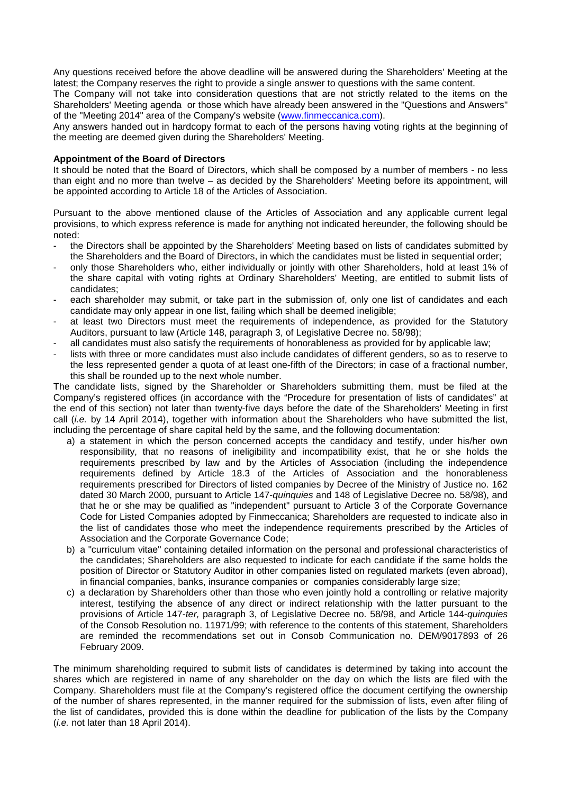Any questions received before the above deadline will be answered during the Shareholders' Meeting at the latest; the Company reserves the right to provide a single answer to questions with the same content.

The Company will not take into consideration questions that are not strictly related to the items on the Shareholders' Meeting agenda or those which have already been answered in the "Questions and Answers" of the "Meeting 2014" area of the Company's website (www.finmeccanica.com).

Any answers handed out in hardcopy format to each of the persons having voting rights at the beginning of the meeting are deemed given during the Shareholders' Meeting.

# **Appointment of the Board of Directors**

It should be noted that the Board of Directors, which shall be composed by a number of members - no less than eight and no more than twelve – as decided by the Shareholders' Meeting before its appointment, will be appointed according to Article 18 of the Articles of Association.

Pursuant to the above mentioned clause of the Articles of Association and any applicable current legal provisions, to which express reference is made for anything not indicated hereunder, the following should be noted:

- the Directors shall be appointed by the Shareholders' Meeting based on lists of candidates submitted by the Shareholders and the Board of Directors, in which the candidates must be listed in sequential order;
- only those Shareholders who, either individually or jointly with other Shareholders, hold at least 1% of the share capital with voting rights at Ordinary Shareholders' Meeting, are entitled to submit lists of candidates;
- each shareholder may submit, or take part in the submission of, only one list of candidates and each candidate may only appear in one list, failing which shall be deemed ineligible;
- at least two Directors must meet the requirements of independence, as provided for the Statutory Auditors, pursuant to law (Article 148, paragraph 3, of Legislative Decree no. 58/98);
- all candidates must also satisfy the requirements of honorableness as provided for by applicable law;
- lists with three or more candidates must also include candidates of different genders, so as to reserve to the less represented gender a quota of at least one-fifth of the Directors; in case of a fractional number, this shall be rounded up to the next whole number.

The candidate lists, signed by the Shareholder or Shareholders submitting them, must be filed at the Company's registered offices (in accordance with the "Procedure for presentation of lists of candidates" at the end of this section) not later than twenty-five days before the date of the Shareholders' Meeting in first call *(i.e.* by 14 April 2014), together with information about the Shareholders who have submitted the list, including the percentage of share capital held by the same, and the following documentation:

- a) a statement in which the person concerned accepts the candidacy and testify, under his/her own responsibility, that no reasons of ineligibility and incompatibility exist, that he or she holds the requirements prescribed by law and by the Articles of Association (including the independence requirements defined by Article 18.3 of the Articles of Association and the honorableness requirements prescribed for Directors of listed companies by Decree of the Ministry of Justice no. 162 dated 30 March 2000, pursuant to Article 147-quinquies and 148 of Legislative Decree no. 58/98), and that he or she may be qualified as "independent" pursuant to Article 3 of the Corporate Governance Code for Listed Companies adopted by Finmeccanica; Shareholders are requested to indicate also in the list of candidates those who meet the independence requirements prescribed by the Articles of Association and the Corporate Governance Code;
- b) a "curriculum vitae" containing detailed information on the personal and professional characteristics of the candidates; Shareholders are also requested to indicate for each candidate if the same holds the position of Director or Statutory Auditor in other companies listed on regulated markets (even abroad), in financial companies, banks, insurance companies or companies considerably large size;
- c) a declaration by Shareholders other than those who even jointly hold a controlling or relative majority interest, testifying the absence of any direct or indirect relationship with the latter pursuant to the provisions of Article 147-ter, paragraph 3, of Legislative Decree no. 58/98, and Article 144-quinquies of the Consob Resolution no. 11971/99; with reference to the contents of this statement, Shareholders are reminded the recommendations set out in Consob Communication no. DEM/9017893 of 26 February 2009.

The minimum shareholding required to submit lists of candidates is determined by taking into account the shares which are registered in name of any shareholder on the day on which the lists are filed with the Company. Shareholders must file at the Company's registered office the document certifying the ownership of the number of shares represented, in the manner required for the submission of lists, even after filing of the list of candidates, provided this is done within the deadline for publication of the lists by the Company (i.e. not later than 18 April 2014).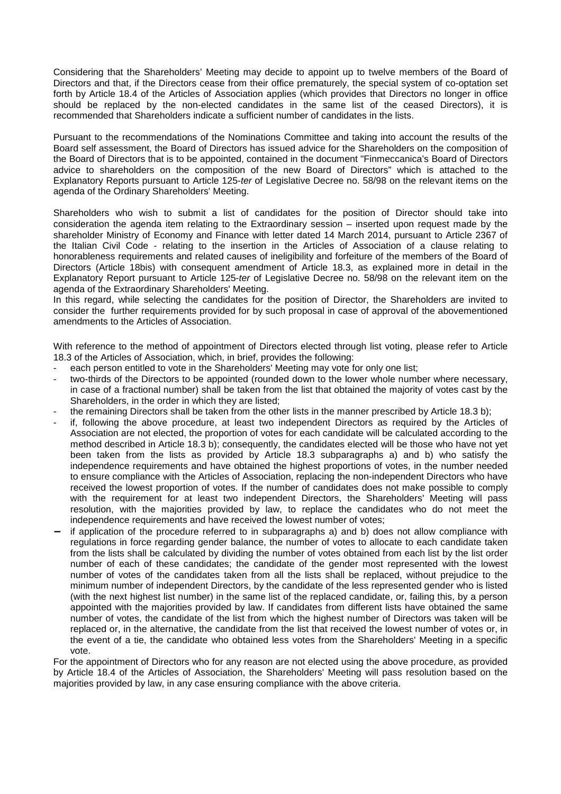Considering that the Shareholders' Meeting may decide to appoint up to twelve members of the Board of Directors and that, if the Directors cease from their office prematurely, the special system of co-optation set forth by Article 18.4 of the Articles of Association applies (which provides that Directors no longer in office should be replaced by the non-elected candidates in the same list of the ceased Directors), it is recommended that Shareholders indicate a sufficient number of candidates in the lists.

Pursuant to the recommendations of the Nominations Committee and taking into account the results of the Board self assessment, the Board of Directors has issued advice for the Shareholders on the composition of the Board of Directors that is to be appointed, contained in the document "Finmeccanica's Board of Directors advice to shareholders on the composition of the new Board of Directors" which is attached to the Explanatory Reports pursuant to Article 125-ter of Legislative Decree no. 58/98 on the relevant items on the agenda of the Ordinary Shareholders' Meeting.

Shareholders who wish to submit a list of candidates for the position of Director should take into consideration the agenda item relating to the Extraordinary session – inserted upon request made by the shareholder Ministry of Economy and Finance with letter dated 14 March 2014, pursuant to Article 2367 of the Italian Civil Code - relating to the insertion in the Articles of Association of a clause relating to honorableness requirements and related causes of ineligibility and forfeiture of the members of the Board of Directors (Article 18bis) with consequent amendment of Article 18.3, as explained more in detail in the Explanatory Report pursuant to Article 125-ter of Legislative Decree no. 58/98 on the relevant item on the agenda of the Extraordinary Shareholders' Meeting.

In this regard, while selecting the candidates for the position of Director, the Shareholders are invited to consider the further requirements provided for by such proposal in case of approval of the abovementioned amendments to the Articles of Association.

With reference to the method of appointment of Directors elected through list voting, please refer to Article 18.3 of the Articles of Association, which, in brief, provides the following:

- each person entitled to vote in the Shareholders' Meeting may vote for only one list;
- two-thirds of the Directors to be appointed (rounded down to the lower whole number where necessary. in case of a fractional number) shall be taken from the list that obtained the majority of votes cast by the Shareholders, in the order in which they are listed;
- the remaining Directors shall be taken from the other lists in the manner prescribed by Article 18.3 b);
- if, following the above procedure, at least two independent Directors as required by the Articles of Association are not elected, the proportion of votes for each candidate will be calculated according to the method described in Article 18.3 b); consequently, the candidates elected will be those who have not yet been taken from the lists as provided by Article 18.3 subparagraphs a) and b) who satisfy the independence requirements and have obtained the highest proportions of votes, in the number needed to ensure compliance with the Articles of Association, replacing the non-independent Directors who have received the lowest proportion of votes. If the number of candidates does not make possible to comply with the requirement for at least two independent Directors, the Shareholders' Meeting will pass resolution, with the majorities provided by law, to replace the candidates who do not meet the independence requirements and have received the lowest number of votes;
- if application of the procedure referred to in subparagraphs a) and b) does not allow compliance with regulations in force regarding gender balance, the number of votes to allocate to each candidate taken from the lists shall be calculated by dividing the number of votes obtained from each list by the list order number of each of these candidates; the candidate of the gender most represented with the lowest number of votes of the candidates taken from all the lists shall be replaced, without prejudice to the minimum number of independent Directors, by the candidate of the less represented gender who is listed (with the next highest list number) in the same list of the replaced candidate, or, failing this, by a person appointed with the majorities provided by law. If candidates from different lists have obtained the same number of votes, the candidate of the list from which the highest number of Directors was taken will be replaced or, in the alternative, the candidate from the list that received the lowest number of votes or, in the event of a tie, the candidate who obtained less votes from the Shareholders' Meeting in a specific vote.

For the appointment of Directors who for any reason are not elected using the above procedure, as provided by Article 18.4 of the Articles of Association, the Shareholders' Meeting will pass resolution based on the majorities provided by law, in any case ensuring compliance with the above criteria.